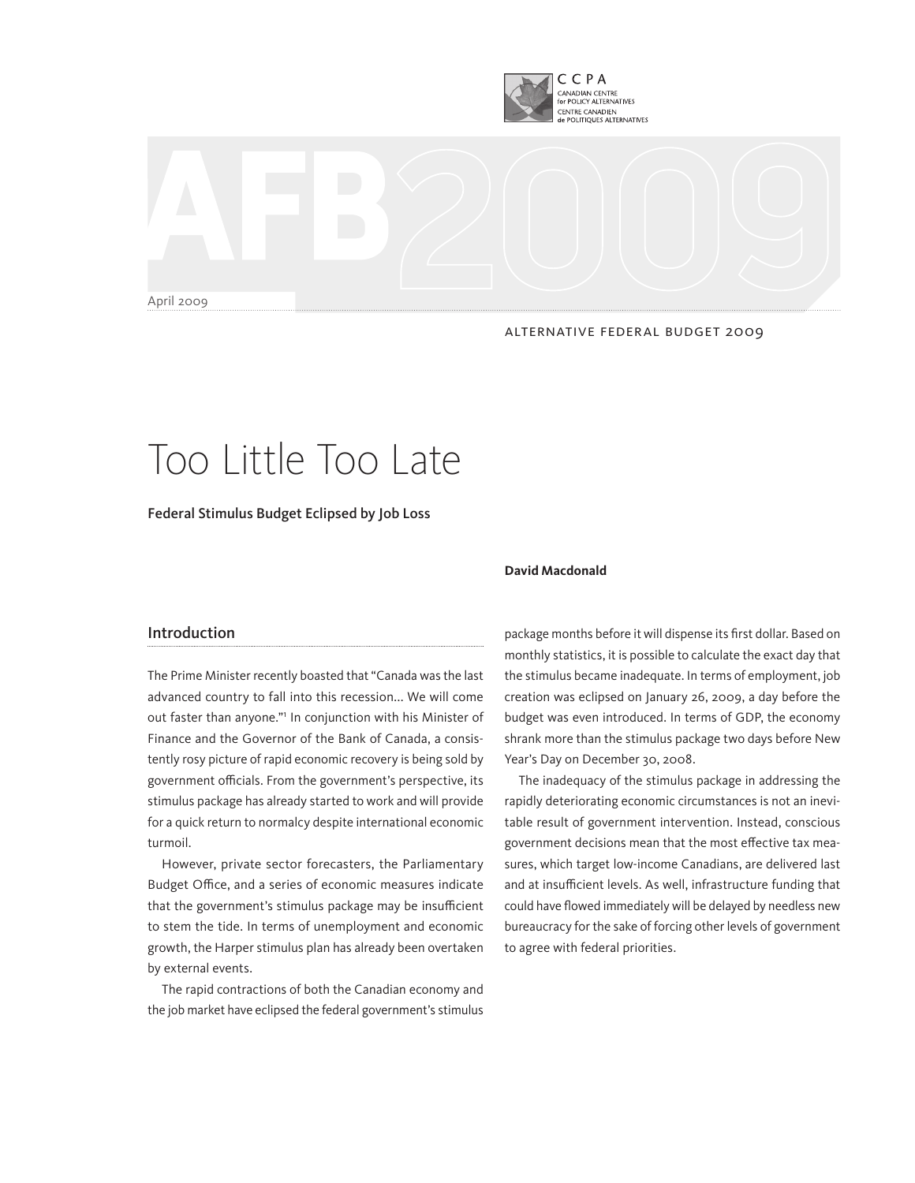

April 2009

#### ALTERNATIVE FEDERAL BUDGET 2009

# Too Little Too Late

Federal Stimulus Budget Eclipsed by Job Loss

# Introduction

The Prime Minister recently boasted that "Canada was the last advanced country to fall into this recession... We will come out faster than anyone." In conjunction with his Minister of Finance and the Governor of the Bank of Canada, a consistently rosy picture of rapid economic recovery is being sold by government officials. From the government's perspective, its stimulus package has already started to work and will provide for a quick return to normalcy despite international economic turmoil.

However, private sector forecasters, the Parliamentary Budget Office, and a series of economic measures indicate that the government's stimulus package may be insufficient to stem the tide. In terms of unemployment and economic growth, the Harper stimulus plan has already been overtaken by external events.

The rapid contractions of both the Canadian economy and the job market have eclipsed the federal government's stimulus

#### **David Macdonald**

package months before it will dispense its first dollar. Based on monthly statistics, it is possible to calculate the exact day that the stimulus became inadequate. In terms of employment, job creation was eclipsed on January 26, 2009, a day before the budget was even introduced. In terms of GDP, the economy shrank more than the stimulus package two days before New Year's Day on December 30, 2008.

The inadequacy of the stimulus package in addressing the rapidly deteriorating economic circumstances is not an inevitable result of government intervention. Instead, conscious government decisions mean that the most effective tax measures, which target low-income Canadians, are delivered last and at insufficient levels. As well, infrastructure funding that could have flowed immediately will be delayed by needless new bureaucracy for the sake of forcing other levels of government to agree with federal priorities.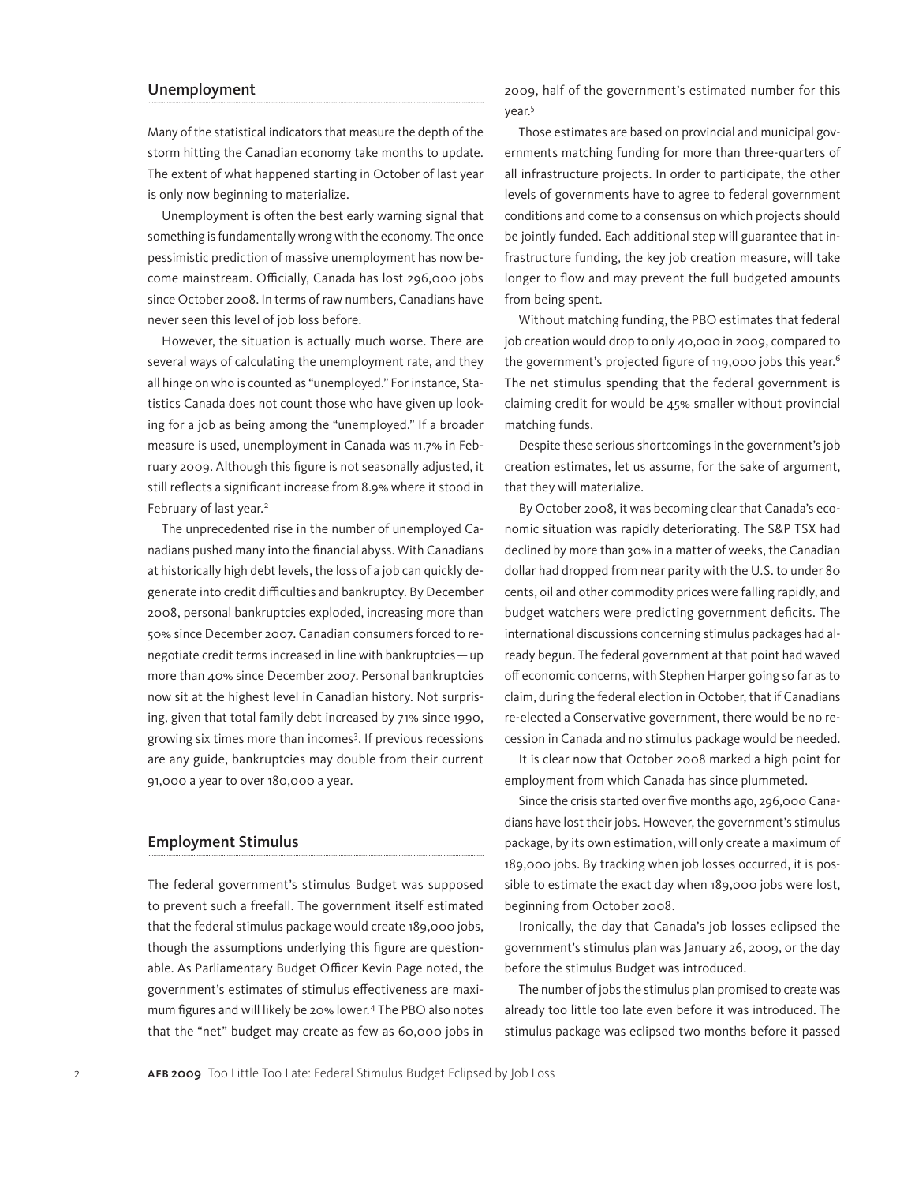## Unemployment

Many of the statistical indicators that measure the depth of the storm hitting the Canadian economy take months to update. The extent of what happened starting in October of last year is only now beginning to materialize.

Unemployment is often the best early warning signal that something is fundamentally wrong with the economy. The once pessimistic prediction of massive unemployment has now become mainstream. Officially, Canada has lost 296,000 jobs since October 2008. In terms of raw numbers, Canadians have never seen this level of job loss before.

However, the situation is actually much worse. There are several ways of calculating the unemployment rate, and they all hinge on who is counted as "unemployed." For instance, Statistics Canada does not count those who have given up looking for a job as being among the "unemployed." If a broader measure is used, unemployment in Canada was 11.7% in February 2009. Although this figure is not seasonally adjusted, it still reflects a significant increase from 8.9% where it stood in February of last year.<sup>2</sup>

The unprecedented rise in the number of unemployed Canadians pushed many into the financial abyss. With Canadians at historically high debt levels, the loss of a job can quickly degenerate into credit difficulties and bankruptcy. By December 2008, personal bankruptcies exploded, increasing more than 50% since December 2007. Canadian consumers forced to renegotiate credit terms increased in line with bankruptcies—up more than 40% since December 2007. Personal bankruptcies now sit at the highest level in Canadian history. Not surprising, given that total family debt increased by 71% since 1990, growing six times more than incomes<sup>3</sup>. If previous recessions are any guide, bankruptcies may double from their current 91,000 a year to over 180,000 a year.

#### Employment Stimulus

The federal government's stimulus Budget was supposed to prevent such a freefall. The government itself estimated that the federal stimulus package would create 189,000 jobs, though the assumptions underlying this figure are questionable. As Parliamentary Budget Officer Kevin Page noted, the government's estimates of stimulus effectiveness are maximum figures and will likely be 20% lower.4 The PBO also notes that the "net" budget may create as few as 60,000 jobs in 2009, half of the government's estimated number for this year.5

Those estimates are based on provincial and municipal governments matching funding for more than three-quarters of all infrastructure projects. In order to participate, the other levels of governments have to agree to federal government conditions and come to a consensus on which projects should be jointly funded. Each additional step will guarantee that infrastructure funding, the key job creation measure, will take longer to flow and may prevent the full budgeted amounts from being spent.

Without matching funding, the PBO estimates that federal job creation would drop to only 40,000 in 2009, compared to the government's projected figure of 119,000 jobs this year.<sup>6</sup> The net stimulus spending that the federal government is claiming credit for would be 45% smaller without provincial matching funds.

Despite these serious shortcomings in the government's job creation estimates, let us assume, for the sake of argument, that they will materialize.

By October 2008, it was becoming clear that Canada's economic situation was rapidly deteriorating. The S&P TSX had declined by more than 30% in a matter of weeks, the Canadian dollar had dropped from near parity with the U.S. to under 80 cents, oil and other commodity prices were falling rapidly, and budget watchers were predicting government deficits. The international discussions concerning stimulus packages had already begun. The federal government at that point had waved off economic concerns, with Stephen Harper going so far as to claim, during the federal election in October, that if Canadians re-elected a Conservative government, there would be no recession in Canada and no stimulus package would be needed.

It is clear now that October 2008 marked a high point for employment from which Canada has since plummeted.

Since the crisis started over five months ago, 296,000 Canadians have lost their jobs. However, the government's stimulus package, by its own estimation, will only create a maximum of 189,000 jobs. By tracking when job losses occurred, it is possible to estimate the exact day when 189,000 jobs were lost, beginning from October 2008.

Ironically, the day that Canada's job losses eclipsed the government's stimulus plan was January 26, 2009, or the day before the stimulus Budget was introduced.

The number of jobs the stimulus plan promised to create was already too little too late even before it was introduced. The stimulus package was eclipsed two months before it passed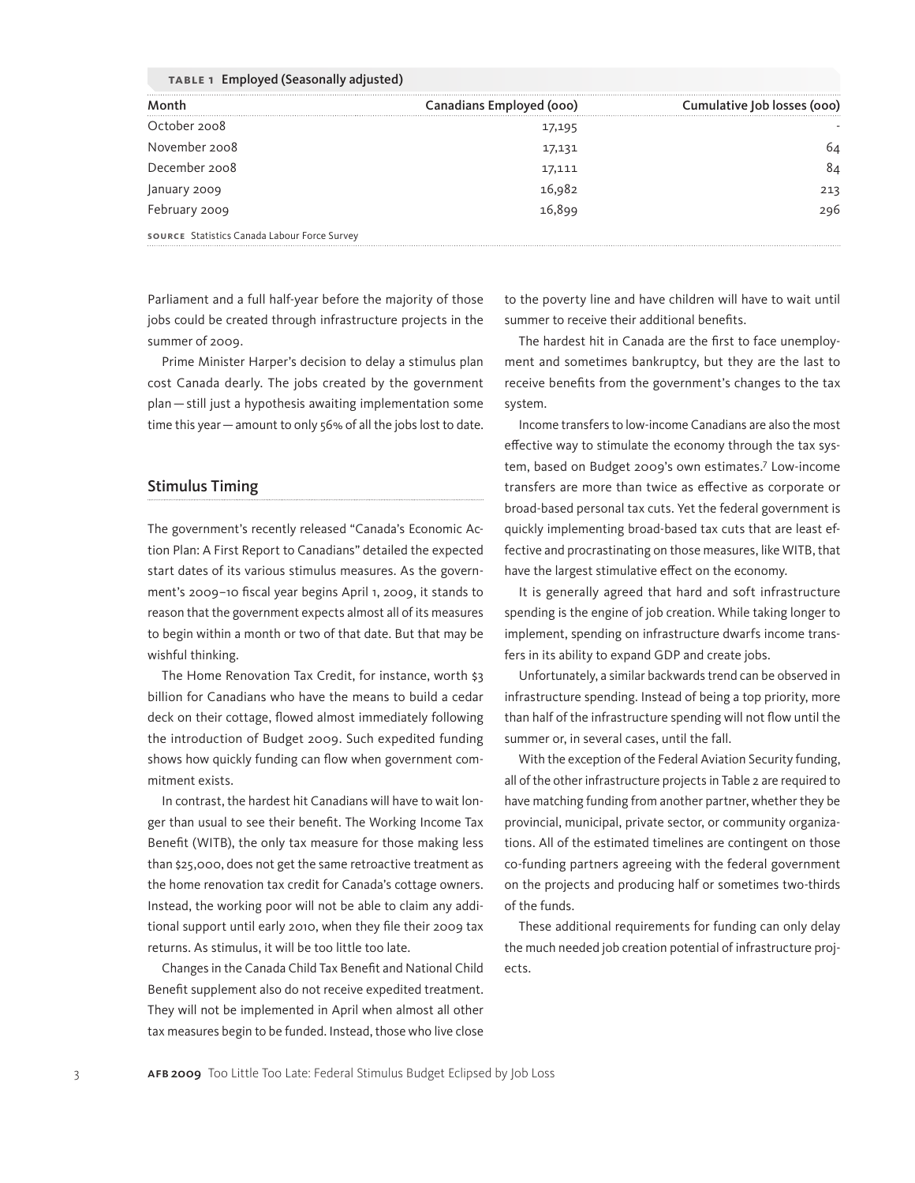| TABLE 1 Employed (Seasonally adjusted)       |                          |                             |
|----------------------------------------------|--------------------------|-----------------------------|
| Month                                        | Canadians Employed (000) | Cumulative Job losses (000) |
| October 2008                                 | 17,195                   |                             |
| November 2008                                | 17,131                   | 64                          |
| December 2008                                | 17,111                   | 84                          |
| January 2009                                 | 16,982                   | 213                         |
| February 2009                                | ربر<br>16,899            | 296                         |
| SOURCE Statistics Canada Labour Force Survey |                          |                             |

**Table 1** Employed (Seasonally adjusted)

Parliament and a full half-year before the majority of those jobs could be created through infrastructure projects in the summer of 2009.

Prime Minister Harper's decision to delay a stimulus plan cost Canada dearly. The jobs created by the government plan—still just a hypothesis awaiting implementation some time this year—amount to only 56% of all the jobs lost to date.

#### Stimulus Timing

The government's recently released "Canada's Economic Action Plan: A First Report to Canadians" detailed the expected start dates of its various stimulus measures. As the government's 2009–10 fiscal year begins April 1, 2009, it stands to reason that the government expects almost all of its measures to begin within a month or two of that date. But that may be wishful thinking.

The Home Renovation Tax Credit, for instance, worth \$3 billion for Canadians who have the means to build a cedar deck on their cottage, flowed almost immediately following the introduction of Budget 2009. Such expedited funding shows how quickly funding can flow when government commitment exists.

In contrast, the hardest hit Canadians will have to wait longer than usual to see their benefit. The Working Income Tax Benefit (WITB), the only tax measure for those making less than \$25,000, does not get the same retroactive treatment as the home renovation tax credit for Canada's cottage owners. Instead, the working poor will not be able to claim any additional support until early 2010, when they file their 2009 tax returns. As stimulus, it will be too little too late.

Changes in the Canada Child Tax Benefit and National Child Benefit supplement also do not receive expedited treatment. They will not be implemented in April when almost all other tax measures begin to be funded. Instead, those who live close

to the poverty line and have children will have to wait until summer to receive their additional benefits.

The hardest hit in Canada are the first to face unemployment and sometimes bankruptcy, but they are the last to receive benefits from the government's changes to the tax system.

Income transfers to low-income Canadians are also the most effective way to stimulate the economy through the tax system, based on Budget 2009's own estimates.7 Low-income transfers are more than twice as effective as corporate or broad-based personal tax cuts. Yet the federal government is quickly implementing broad-based tax cuts that are least effective and procrastinating on those measures, like WITB, that have the largest stimulative effect on the economy.

It is generally agreed that hard and soft infrastructure spending is the engine of job creation. While taking longer to implement, spending on infrastructure dwarfs income transfers in its ability to expand GDP and create jobs.

Unfortunately, a similar backwards trend can be observed in infrastructure spending. Instead of being a top priority, more than half of the infrastructure spending will not flow until the summer or, in several cases, until the fall.

With the exception of the Federal Aviation Security funding, all of the other infrastructure projects in Table 2 are required to have matching funding from another partner, whether they be provincial, municipal, private sector, or community organizations. All of the estimated timelines are contingent on those co-funding partners agreeing with the federal government on the projects and producing half or sometimes two-thirds of the funds.

These additional requirements for funding can only delay the much needed job creation potential of infrastructure projects.

3 AFB 2009 Too Little Too Late: Federal Stimulus Budget Eclipsed by Job Loss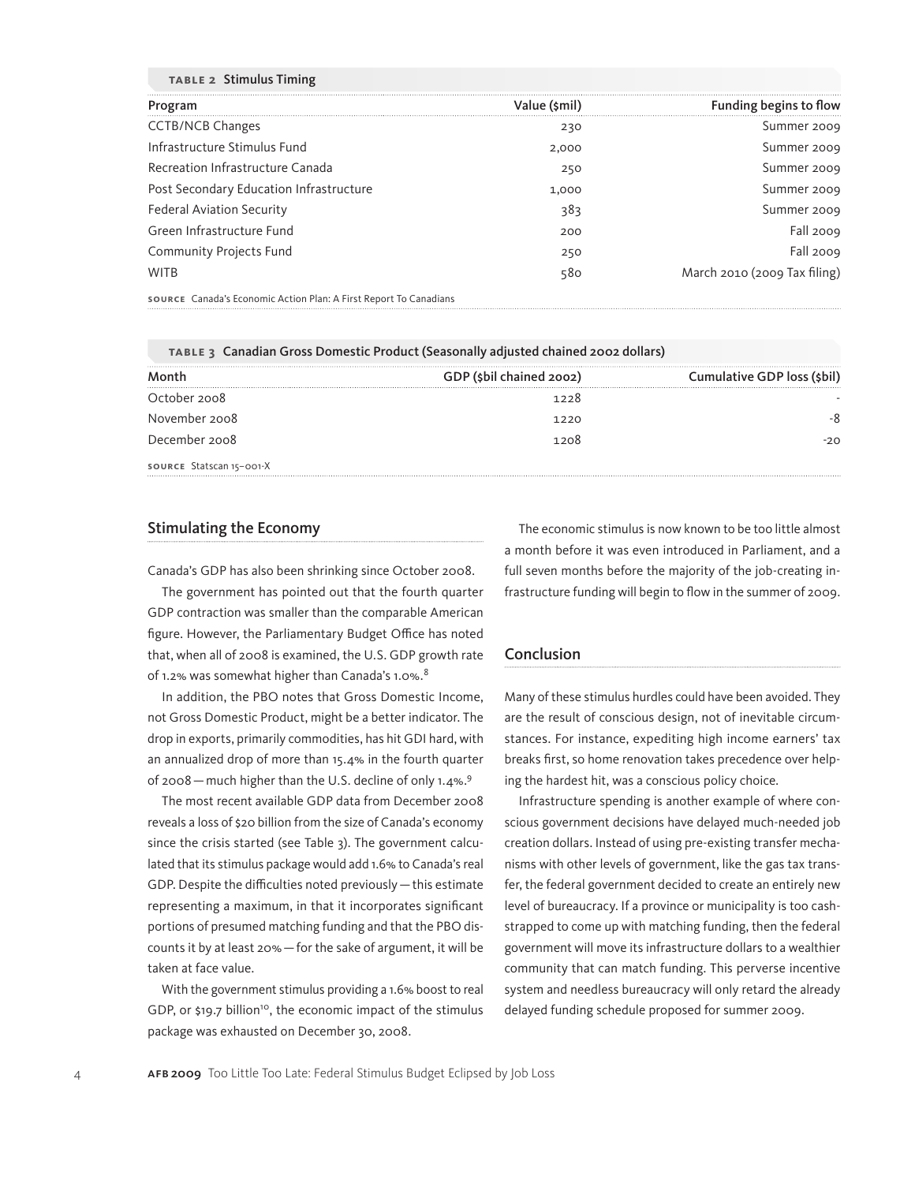| <b>TABLE 2 Stimulus Timing</b>          |               |                              |
|-----------------------------------------|---------------|------------------------------|
| Program                                 | Value (\$mil) | Funding begins to flow       |
| <b>CCTB/NCB Changes</b>                 | 230           | Summer 2009                  |
| Infrastructure Stimulus Fund            | 2,000         | Summer 2009                  |
| Recreation Infrastructure Canada        | 250           | Summer 2009                  |
| Post Secondary Education Infrastructure | 1,000         | Summer 2009                  |
| <b>Federal Aviation Security</b>        | 383           | Summer 2009                  |
| Green Infrastructure Fund               | 200           | Fall 2009                    |
| <b>Community Projects Fund</b>          | 250           | Fall 2009                    |
| <b>WITB</b>                             | 580           | March 2010 (2009 Tax filing) |

**Source** Canada's Economic Action Plan: A First Report To Canadians

|                          | TABLE 3 Canadian Gross Domestic Product (Seasonally adjusted chained 2002 dollars) |                             |
|--------------------------|------------------------------------------------------------------------------------|-----------------------------|
| Month                    | GDP (\$bil chained 2002)                                                           | Cumulative GDP loss (\$bil) |
| October 2008             | 1228                                                                               |                             |
| November 2008            | 1220                                                                               |                             |
| December 2008            | 1208                                                                               | -20                         |
| source Statscan 15-001-X |                                                                                    |                             |

## Stimulating the Economy

Canada's GDP has also been shrinking since October 2008.

The government has pointed out that the fourth quarter GDP contraction was smaller than the comparable American figure. However, the Parliamentary Budget Office has noted that, when all of 2008 is examined, the U.S. GDP growth rate of 1.2% was somewhat higher than Canada's 1.0%.<sup>8</sup>

In addition, the PBO notes that Gross Domestic Income, not Gross Domestic Product, might be a better indicator. The drop in exports, primarily commodities, has hit GDI hard, with an annualized drop of more than 15.4% in the fourth quarter of 2008—much higher than the U.S. decline of only 1.4%.9

The most recent available GDP data from December 2008 reveals a loss of \$20 billion from the size of Canada's economy since the crisis started (see Table 3). The government calculated that its stimulus package would add 1.6% to Canada's real GDP. Despite the difficulties noted previously—this estimate representing a maximum, in that it incorporates significant portions of presumed matching funding and that the PBO discounts it by at least 20%—for the sake of argument, it will be taken at face value.

With the government stimulus providing a 1.6% boost to real GDP, or \$19.7 billion<sup>10</sup>, the economic impact of the stimulus package was exhausted on December 30, 2008.

The economic stimulus is now known to be too little almost a month before it was even introduced in Parliament, and a full seven months before the majority of the job-creating infrastructure funding will begin to flow in the summer of 2009.

#### Conclusion

Many of these stimulus hurdles could have been avoided. They are the result of conscious design, not of inevitable circumstances. For instance, expediting high income earners' tax breaks first, so home renovation takes precedence over helping the hardest hit, was a conscious policy choice.

Infrastructure spending is another example of where conscious government decisions have delayed much-needed job creation dollars. Instead of using pre-existing transfer mechanisms with other levels of government, like the gas tax transfer, the federal government decided to create an entirely new level of bureaucracy. If a province or municipality is too cashstrapped to come up with matching funding, then the federal government will move its infrastructure dollars to a wealthier community that can match funding. This perverse incentive system and needless bureaucracy will only retard the already delayed funding schedule proposed for summer 2009.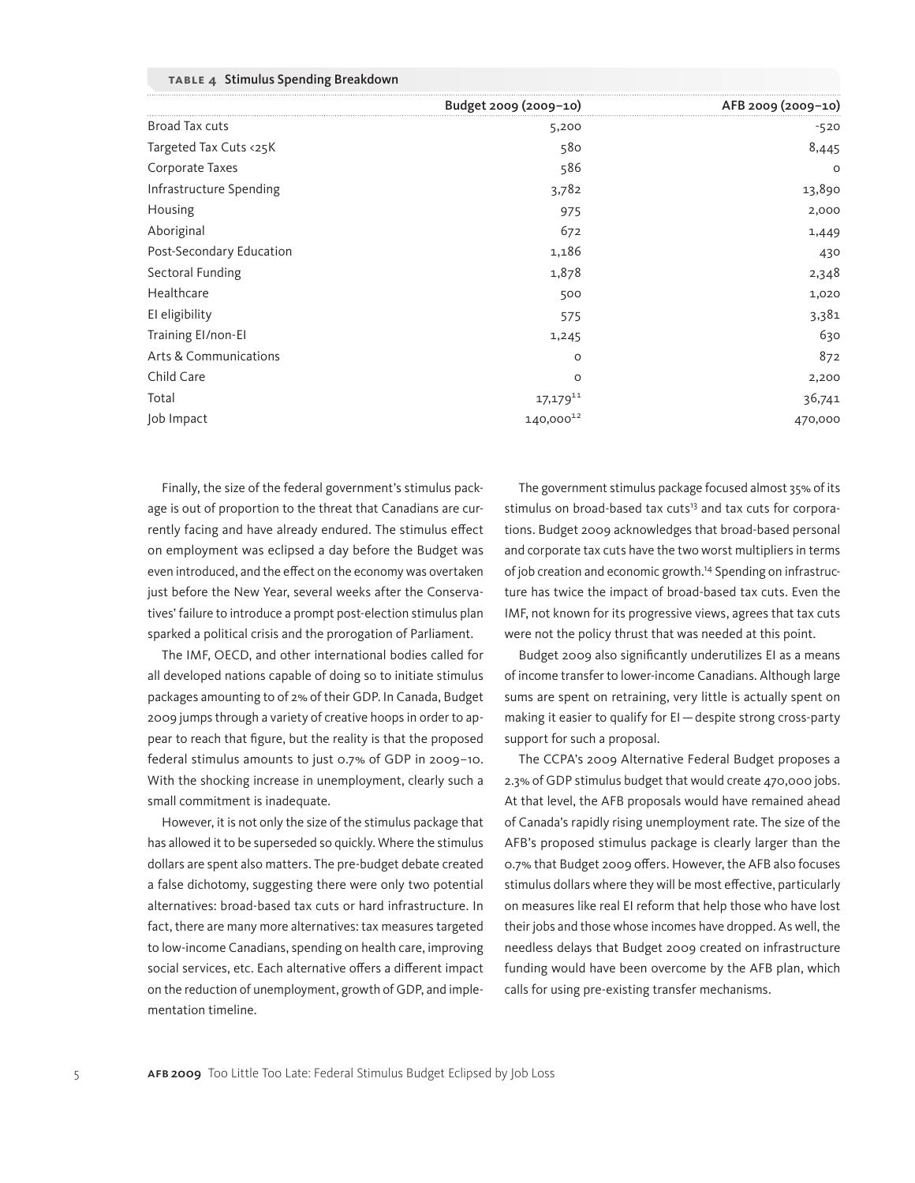|  | TABLE 4 Stimulus Spending Breakdown |  |  |  |
|--|-------------------------------------|--|--|--|
|--|-------------------------------------|--|--|--|

|                          | Budget 2009 (2009-10) | AFB 2009 (2009-10) |
|--------------------------|-----------------------|--------------------|
| Broad Tax cuts           | 5,200                 | $-520$             |
| Targeted Tax Cuts <25K   | 580                   | 8,445              |
| Corporate Taxes          | 586                   | $\circ$            |
| Infrastructure Spending  | 3,782                 | 13,890             |
| Housing                  | 975                   | 2,000              |
| Aboriginal               | 672                   | 1,449              |
| Post-Secondary Education | 1,186                 | 430                |
| Sectoral Funding         | 1,878                 | 2,348              |
| Healthcare               | 500                   | 1,020              |
| El eligibility           | 575                   | 3,381              |
| Training El/non-El       | 1,245                 | 630                |
| Arts & Communications    | $\circ$               | 872                |
| Child Care               | $\circ$               | 2,200              |
| Total                    | $17,179^{11}$         | 36,741             |
| Job Impact               | 140,00012             | 470,000            |

Finally, the size of the federal government's stimulus package is out of proportion to the threat that Canadians are currently facing and have already endured. The stimulus effect on employment was eclipsed a day before the Budget was even introduced, and the effect on the economy was overtaken just before the New Year, several weeks after the Conservatives' failure to introduce a prompt post-election stimulus plan sparked a political crisis and the prorogation of Parliament.

The IMF, OECD, and other international bodies called for all developed nations capable of doing so to initiate stimulus packages amounting to of 2% of their GDP. In Canada, Budget 2009 jumps through a variety of creative hoops in order to appear to reach that figure, but the reality is that the proposed federal stimulus amounts to just 0.7% of GDP in 2009–10. With the shocking increase in unemployment, clearly such a small commitment is inadequate.

However, it is not only the size of the stimulus package that has allowed it to be superseded so quickly. Where the stimulus dollars are spent also matters. The pre-budget debate created a false dichotomy, suggesting there were only two potential alternatives: broad-based tax cuts or hard infrastructure. In fact, there are many more alternatives: tax measures targeted to low-income Canadians, spending on health care, improving social services, etc. Each alternative offers a different impact on the reduction of unemployment, growth of GDP, and implementation timeline.

The government stimulus package focused almost 35% of its stimulus on broad-based tax cuts<sup>13</sup> and tax cuts for corporations. Budget 2009 acknowledges that broad-based personal and corporate tax cuts have the two worst multipliers in terms of job creation and economic growth.14 Spending on infrastructure has twice the impact of broad-based tax cuts. Even the IMF, not known for its progressive views, agrees that tax cuts were not the policy thrust that was needed at this point.

Budget 2009 also significantly underutilizes EI as a means of income transfer to lower-income Canadians. Although large sums are spent on retraining, very little is actually spent on making it easier to qualify for EI—despite strong cross-party support for such a proposal.

The CCPA's 2009 Alternative Federal Budget proposes a 2.3% of GDP stimulus budget that would create 470,000 jobs. At that level, the AFB proposals would have remained ahead of Canada's rapidly rising unemployment rate. The size of the AFB's proposed stimulus package is clearly larger than the 0.7% that Budget 2009 offers. However, the AFB also focuses stimulus dollars where they will be most effective, particularly on measures like real EI reform that help those who have lost their jobs and those whose incomes have dropped. As well, the needless delays that Budget 2009 created on infrastructure funding would have been overcome by the AFB plan, which calls for using pre-existing transfer mechanisms.